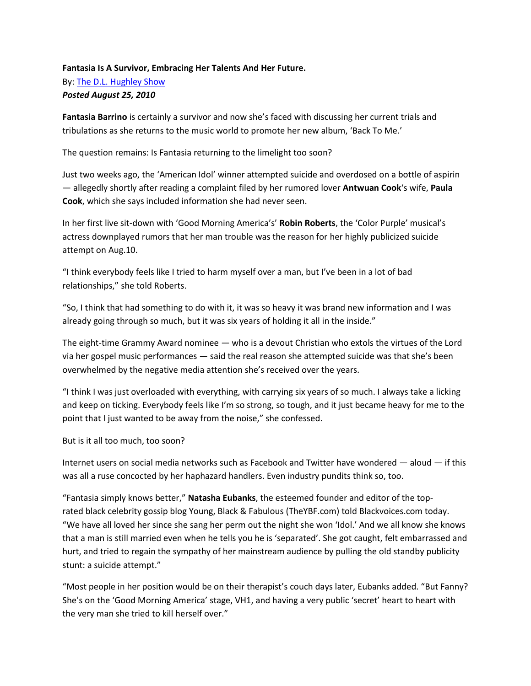## **Fantasia Is A Survivor, Embracing Her Talents And Her Future.** By: [The D.L. Hughley Show](https://kissdetroit.com/author/ronemamiller/) *Posted August 25, 2010*

**Fantasia Barrino** is certainly a survivor and now she's faced with discussing her current trials and tribulations as she returns to the music world to promote her new album, 'Back To Me.'

The question remains: Is Fantasia returning to the limelight too soon?

Just two weeks ago, the 'American Idol' winner attempted suicide and overdosed on a bottle of aspirin — allegedly shortly after reading a complaint filed by her rumored lover **Antwuan Cook**'s wife, **Paula Cook**, which she says included information she had never seen.

In her first live sit-down with 'Good Morning America's' **Robin Roberts**, the 'Color Purple' musical's actress downplayed rumors that her man trouble was the reason for her highly publicized suicide attempt on Aug.10.

"I think everybody feels like I tried to harm myself over a man, but I've been in a lot of bad relationships," she told Roberts.

"So, I think that had something to do with it, it was so heavy it was brand new information and I was already going through so much, but it was six years of holding it all in the inside."

The eight-time Grammy Award nominee — who is a devout Christian who extols the virtues of the Lord via her gospel music performances — said the real reason she attempted suicide was that she's been overwhelmed by the negative media attention she's received over the years.

"I think I was just overloaded with everything, with carrying six years of so much. I always take a licking and keep on ticking. Everybody feels like I'm so strong, so tough, and it just became heavy for me to the point that I just wanted to be away from the noise," she confessed.

But is it all too much, too soon?

Internet users on social media networks such as Facebook and Twitter have wondered — aloud — if this was all a ruse concocted by her haphazard handlers. Even industry pundits think so, too.

"Fantasia simply knows better," **Natasha Eubanks**, the esteemed founder and editor of the toprated [black celebrity gossip](https://theurbandaily.cassiuslife.com/) blog Young, Black & Fabulous [\(TheYBF.com\)](http://theybf.com/) told Blackvoices.com today. "We have all loved her since she sang her perm out the night she won 'Idol.' And we all know she knows that a man is still married even when he tells you he is 'separated'. She got caught, felt embarrassed and hurt, and tried to regain the sympathy of her mainstream audience by pulling the old standby publicity stunt: a suicide attempt."

"Most people in her position would be on their therapist's couch days later, Eubanks added. "But Fanny? She's on the 'Good Morning America' stage, VH1, and having a very public 'secret' heart to heart with the very man she tried to kill herself over."